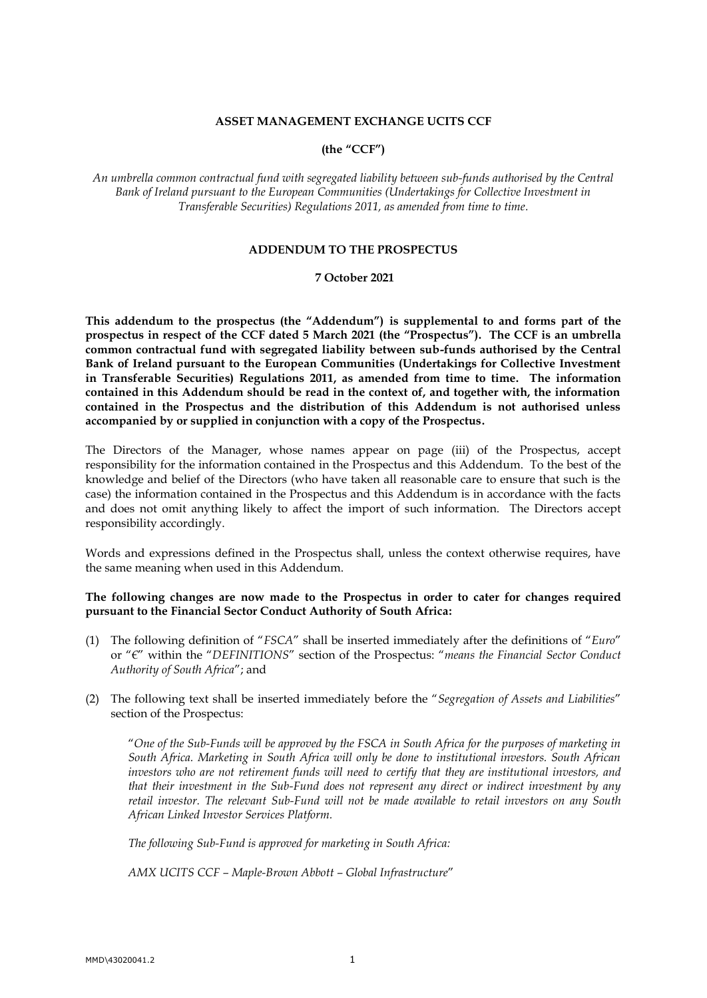## **ASSET MANAGEMENT EXCHANGE UCITS CCF**

# **(the "CCF")**

*An umbrella common contractual fund with segregated liability between sub-funds authorised by the Central Bank of Ireland pursuant to the European Communities (Undertakings for Collective Investment in Transferable Securities) Regulations 2011, as amended from time to time.*

#### **ADDENDUM TO THE PROSPECTUS**

## **7 October 2021**

**This addendum to the prospectus (the "Addendum") is supplemental to and forms part of the prospectus in respect of the CCF dated 5 March 2021 (the "Prospectus"). The CCF is an umbrella common contractual fund with segregated liability between sub-funds authorised by the Central Bank of Ireland pursuant to the European Communities (Undertakings for Collective Investment in Transferable Securities) Regulations 2011, as amended from time to time. The information contained in this Addendum should be read in the context of, and together with, the information contained in the Prospectus and the distribution of this Addendum is not authorised unless accompanied by or supplied in conjunction with a copy of the Prospectus.**

The Directors of the Manager, whose names appear on page (iii) of the Prospectus, accept responsibility for the information contained in the Prospectus and this Addendum. To the best of the knowledge and belief of the Directors (who have taken all reasonable care to ensure that such is the case) the information contained in the Prospectus and this Addendum is in accordance with the facts and does not omit anything likely to affect the import of such information. The Directors accept responsibility accordingly.

Words and expressions defined in the Prospectus shall, unless the context otherwise requires, have the same meaning when used in this Addendum.

## **The following changes are now made to the Prospectus in order to cater for changes required pursuant to the Financial Sector Conduct Authority of South Africa:**

- (1) The following definition of "*FSCA*" shall be inserted immediately after the definitions of "*Euro*" or "*€*" within the "*DEFINITIONS*" section of the Prospectus: "*means the Financial Sector Conduct Authority of South Africa*"; and
- (2) The following text shall be inserted immediately before the "*Segregation of Assets and Liabilities*" section of the Prospectus:

"*One of the Sub-Funds will be approved by the FSCA in South Africa for the purposes of marketing in South Africa. Marketing in South Africa will only be done to institutional investors. South African investors who are not retirement funds will need to certify that they are institutional investors, and that their investment in the Sub-Fund does not represent any direct or indirect investment by any retail investor. The relevant Sub-Fund will not be made available to retail investors on any South African Linked Investor Services Platform.*

*The following Sub-Fund is approved for marketing in South Africa:*

*AMX UCITS CCF – Maple-Brown Abbott – Global Infrastructure*"